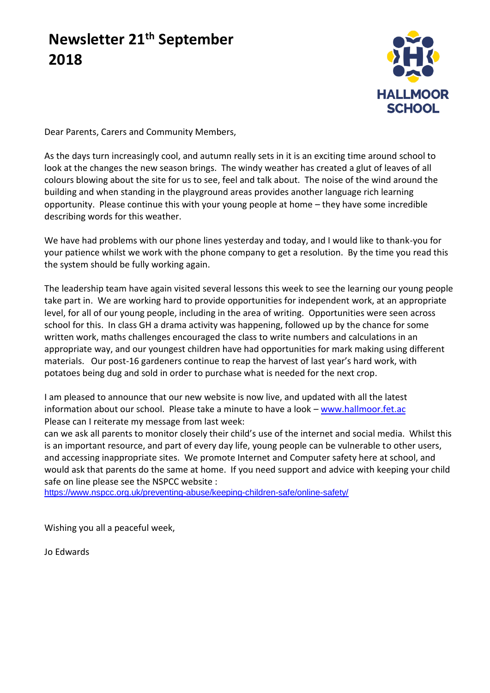# **Newsletter 21th September 2018**



Dear Parents, Carers and Community Members,

As the days turn increasingly cool, and autumn really sets in it is an exciting time around school to look at the changes the new season brings. The windy weather has created a glut of leaves of all colours blowing about the site for us to see, feel and talk about. The noise of the wind around the building and when standing in the playground areas provides another language rich learning opportunity. Please continue this with your young people at home – they have some incredible describing words for this weather.

We have had problems with our phone lines yesterday and today, and I would like to thank-you for your patience whilst we work with the phone company to get a resolution. By the time you read this the system should be fully working again.

The leadership team have again visited several lessons this week to see the learning our young people take part in. We are working hard to provide opportunities for independent work, at an appropriate level, for all of our young people, including in the area of writing. Opportunities were seen across school for this. In class GH a drama activity was happening, followed up by the chance for some written work, maths challenges encouraged the class to write numbers and calculations in an appropriate way, and our youngest children have had opportunities for mark making using different materials. Our post-16 gardeners continue to reap the harvest of last year's hard work, with potatoes being dug and sold in order to purchase what is needed for the next crop.

I am pleased to announce that our new website is now live, and updated with all the latest information about our school. Please take a minute to have a look – [www.hallmoor.fet.ac](http://www.hallmoor.fet.ac/) Please can I reiterate my message from last week:

can we ask all parents to monitor closely their child's use of the internet and social media. Whilst this is an important resource, and part of every day life, young people can be vulnerable to other users, and accessing inappropriate sites. We promote Internet and Computer safety here at school, and would ask that parents do the same at home. If you need support and advice with keeping your child safe on line please see the NSPCC website :

<https://www.nspcc.org.uk/preventing-abuse/keeping-children-safe/online-safety/>

Wishing you all a peaceful week,

Jo Edwards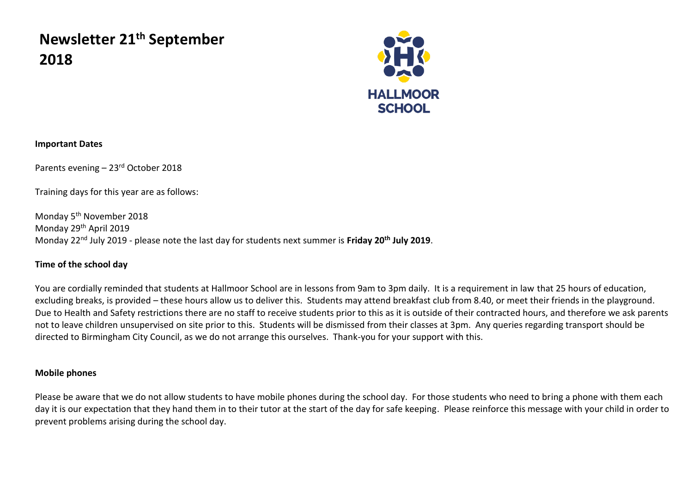# **Newsletter 21th September 2018**



### **Important Dates**

Parents evening – 23rd October 2018

Training days for this year are as follows:

Monday 5th November 2018 Monday 29th April 2019 Monday 22nd July 2019 - please note the last day for students next summer is **Friday 20th July 2019**.

# **Time of the school day**

You are cordially reminded that students at Hallmoor School are in lessons from 9am to 3pm daily. It is a requirement in law that 25 hours of education, excluding breaks, is provided – these hours allow us to deliver this. Students may attend breakfast club from 8.40, or meet their friends in the playground. Due to Health and Safety restrictions there are no staff to receive students prior to this as it is outside of their contracted hours, and therefore we ask parents not to leave children unsupervised on site prior to this. Students will be dismissed from their classes at 3pm. Any queries regarding transport should be directed to Birmingham City Council, as we do not arrange this ourselves. Thank-you for your support with this.

## **Mobile phones**

Please be aware that we do not allow students to have mobile phones during the school day. For those students who need to bring a phone with them each day it is our expectation that they hand them in to their tutor at the start of the day for safe keeping. Please reinforce this message with your child in order to prevent problems arising during the school day.